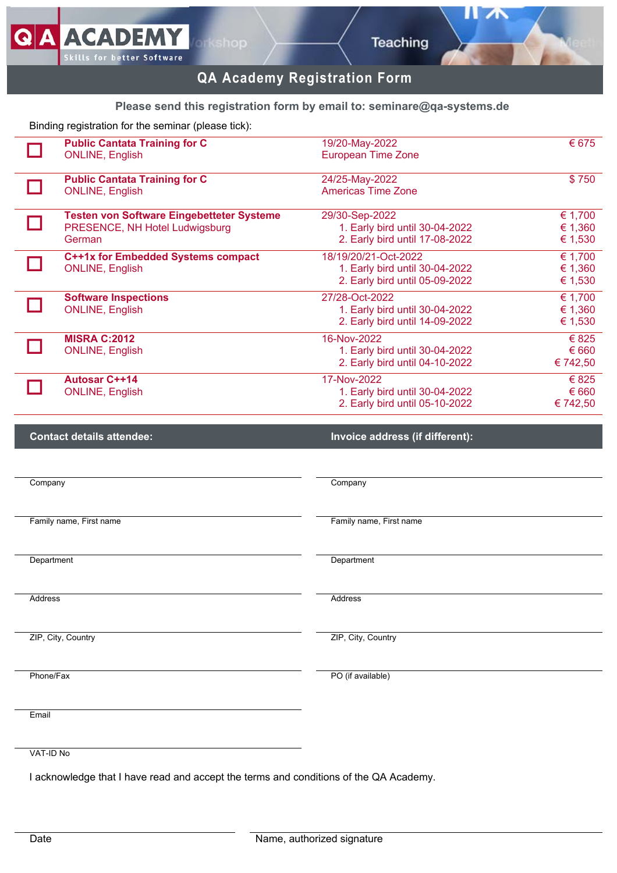y

# **QA Academy Registration Form**

## **Please send this registration form by email to: [seminare@qa-systems.de](mailto:seminare@qa-systems.de)**

| Binding registration for the seminar (please tick): | <b>Public Cantata Training for C</b>                                                  | 19/20-May-2022                                                                           | € 675                         |
|-----------------------------------------------------|---------------------------------------------------------------------------------------|------------------------------------------------------------------------------------------|-------------------------------|
|                                                     | <b>ONLINE, English</b>                                                                | <b>European Time Zone</b>                                                                |                               |
|                                                     | <b>Public Cantata Training for C</b><br><b>ONLINE, English</b>                        | 24/25-May-2022<br><b>Americas Time Zone</b>                                              | \$750                         |
|                                                     | Testen von Software Eingebetteter Systeme<br>PRESENCE, NH Hotel Ludwigsburg<br>German | 29/30-Sep-2022<br>1. Early bird until 30-04-2022<br>2. Early bird until 17-08-2022       | € 1,700<br>€ 1,360<br>€ 1,530 |
|                                                     | C++1x for Embedded Systems compact<br><b>ONLINE, English</b>                          | 18/19/20/21-Oct-2022<br>1. Early bird until 30-04-2022<br>2. Early bird until 05-09-2022 | € 1,700<br>€ 1,360<br>€ 1,530 |
|                                                     | <b>Software Inspections</b><br><b>ONLINE, English</b>                                 | 27/28-Oct-2022<br>1. Early bird until 30-04-2022<br>2. Early bird until 14-09-2022       | € 1,700<br>€ 1,360<br>€ 1,530 |
|                                                     | <b>MISRA C:2012</b><br><b>ONLINE, English</b>                                         | 16-Nov-2022<br>1. Early bird until 30-04-2022<br>2. Early bird until 04-10-2022          | € 825<br>€ 660<br>€ 742,50    |
|                                                     | <b>Autosar C++14</b><br><b>ONLINE, English</b>                                        | 17-Nov-2022<br>1. Early bird until 30-04-2022<br>2. Early bird until 05-10-2022          | € 825<br>€ 660<br>€ 742,50    |
|                                                     |                                                                                       |                                                                                          |                               |
|                                                     | <b>Contact details attendee:</b>                                                      | Invoice address (if different):                                                          |                               |
| Company                                             |                                                                                       | Company                                                                                  |                               |
|                                                     | Family name, First name                                                               | Family name, First name                                                                  |                               |
| Department                                          |                                                                                       | Department                                                                               |                               |
| <b>Address</b>                                      |                                                                                       | Address                                                                                  |                               |
|                                                     | ZIP, City, Country                                                                    | ZIP, City, Country                                                                       |                               |
| Phone/Fax                                           |                                                                                       | PO (if available)                                                                        |                               |
| Email                                               |                                                                                       |                                                                                          |                               |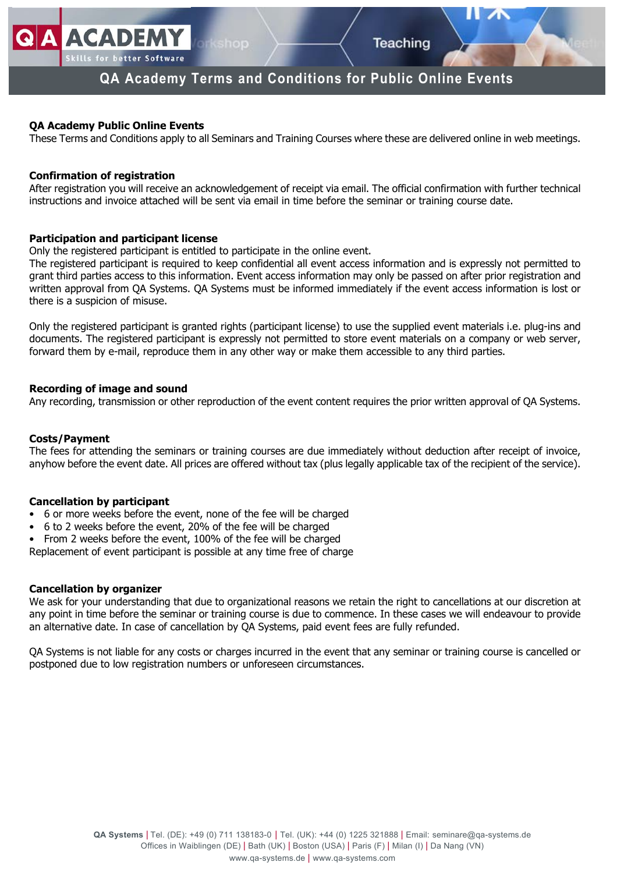## **QA Academy Terms and Conditions for Public Online Events**

## **QA Academy Public Online Events**

**ACADEMY** 

lls for better Software

These Terms and Conditions apply to all Seminars and Training Courses where these are delivered online in web meetings.

### **Confirmation of registration**

After registration you will receive an acknowledgement of receipt via email. The official confirmation with further technical instructions and invoice attached will be sent via email in time before the seminar or training course date.

## **Participation and participant license**

Only the registered participant is entitled to participate in the online event.

The registered participant is required to keep confidential all event access information and is expressly not permitted to grant third parties access to this information. Event access information may only be passed on after prior registration and written approval from QA Systems. QA Systems must be informed immediately if the event access information is lost or there is a suspicion of misuse.

Only the registered participant is granted rights (participant license) to use the supplied event materials i.e. plug-ins and documents. The registered participant is expressly not permitted to store event materials on a company or web server, forward them by e-mail, reproduce them in any other way or make them accessible to any third parties.

## **Recording of image and sound**

Any recording, transmission or other reproduction of the event content requires the prior written approval of QA Systems.

#### **Costs/Payment**

The fees for attending the seminars or training courses are due immediately without deduction after receipt of invoice, anyhow before the event date. All prices are offered without tax (plus legally applicable tax of the recipient of the service).

#### **Cancellation by participant**

- 6 or more weeks before the event, none of the fee will be charged
- 6 to 2 weeks before the event, 20% of the fee will be charged
- From 2 weeks before the event, 100% of the fee will be charged

Replacement of event participant is possible at any time free of charge

#### **Cancellation by organizer**

We ask for your understanding that due to organizational reasons we retain the right to cancellations at our discretion at any point in time before the seminar or training course is due to commence. In these cases we will endeavour to provide an alternative date. In case of cancellation by QA Systems, paid event fees are fully refunded.

QA Systems is not liable for any costs or charges incurred in the event that any seminar or training course is cancelled or postponed due to low registration numbers or unforeseen circumstances.